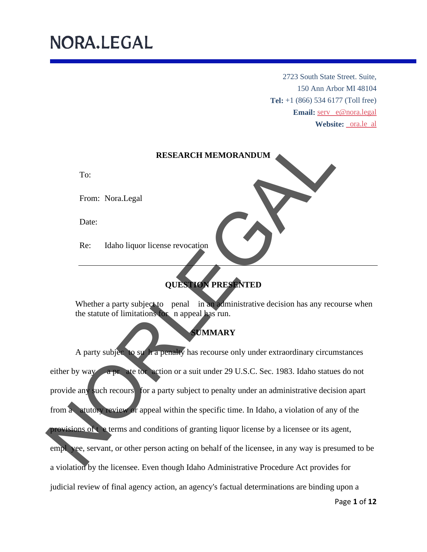To:

Date:

2723 South State Street. Suite, 150 Ann Arbor MI 48104 **Tel:** +1 (866) 534 6177 (Toll free) Email: serv e@nora.legal **Website:** ora.le al



### **QUESTION PRESENTED**

Whether a party subject to penal in an administrative decision has any recourse when the statute of limitations for n appeal has run.

### **SUMMARY**

A party subjec to su h a penalty has recourse only under extraordinary circumstances either by way a pr ate tor action or a suit under 29 U.S.C. Sec. 1983. Idaho statues do not provide any such recours for a party subject to penalty under an administrative decision apart from a atutory review or appeal within the specific time. In Idaho, a violation of any of the provisions of t e terms and conditions of granting liquor license by a licensee or its agent, empl yee, servant, or other person acting on behalf of the licensee, in any way is presumed to be a violation by the licensee. Even though Idaho Administrative Procedure Act provides for judicial review of final agency action, an agency's factual determinations are binding upon a RESEARCH MEMORANDUM<br>
To:<br>
From: Nora.Legal<br>
Date:<br>
Re: Idaho liquor license revocation<br>
Whether a party subject to penal in a diministrative decision has any recourse<br>
the statute of limitations and appear lines run.<br>
A pa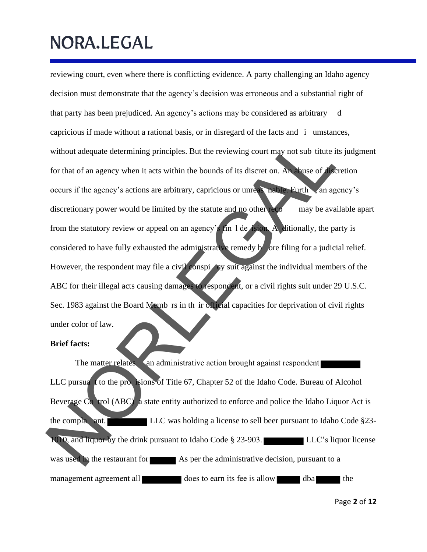reviewing court, even where there is conflicting evidence. A party challenging an Idaho agency decision must demonstrate that the agency's decision was erroneous and a substantial right of that party has been prejudiced. An agency's actions may be considered as arbitrary d capricious if made without a rational basis, or in disregard of the facts and i umstances, without adequate determining principles. But the reviewing court may not sub titute its judgment for that of an agency when it acts within the bounds of its discret on. An abuse of discretion occurs if the agency's actions are arbitrary, capricious or unreas nable. Furth , an agency's discretionary power would be limited by the statute and no other recommany be available apart from the statutory review or appeal on an agency's fin l de ision. A ditionally, the party is considered to have fully exhausted the administrative remedy  $\mathbf{b}'$  ore filing for a judicial relief. However, the respondent may file a civil conspi cy suit against the individual members of the ABC for their illegal acts causing damages to respondent, or a civil rights suit under 29 U.S.C. Sec. 1983 against the Board Memb rs in th ir official capacities for deprivation of civil rights under color of law. without adequate determining principles. But the reviewing court may not sub titute its just for that of an agency when it acts within the bounds of its discretion. An allows of detertions of the agency's actions are arbit

#### **Brief facts:**

The matter relates  $\langle \rangle$  an administrative action brought against respondent LLC pursua<sup>t</sup> to the processions of Title 67, Chapter 52 of the Idaho Code. Bureau of Alcohol Beverage Co trol (ABC) a state entity authorized to enforce and police the Idaho Liquor Act is the compla ant. LLC was holding a license to sell beer pursuant to Idaho Code §23- 1010, and liquor by the drink pursuant to Idaho Code § 23-903. LLC's liquor license was used in the restaurant for As per the administrative decision, pursuant to a management agreement all does to earn its fee is allow dba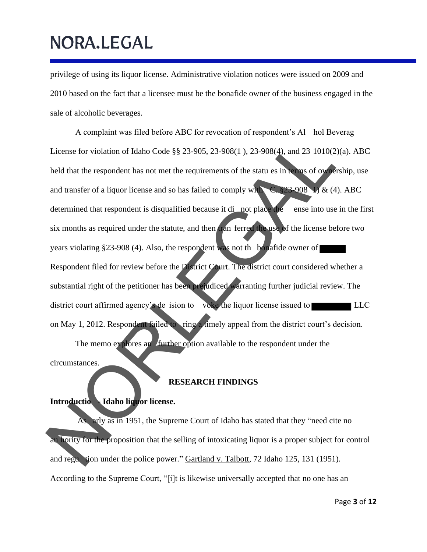privilege of using its liquor license. Administrative violation notices were issued on 2009 and 2010 based on the fact that a licensee must be the bonafide owner of the business engaged in the sale of alcoholic beverages.

A complaint was filed before ABC for revocation of respondent's Al hol Beverag License for violation of Idaho Code §§ 23-905, 23-908(1 ), 23-908(4), and 23 1010(2)(a). ABC held that the respondent has not met the requirements of the statu es in terms of ownership, use and transfer of a liquor license and so has failed to comply with C.  $$23-908$  V & (4). ABC determined that respondent is disqualified because it di not place the ense into use in the first six months as required under the statute, and then tran ferred the use of the license before two years violating §23-908 (4). Also, the respondent was not th bonafide owner of Respondent filed for review before the District Court. The district court considered whether a substantial right of the petitioner has been prejudiced warranting further judicial review. The district court affirmed agency's de ision to voke the liquor license issued to LLC on May 1, 2012. Respondent failed to ring a timely appeal from the district court's decision. The memo explores an further option available to the respondent under the circumstances. License for violation of Idaho Code §§ 23-905, 23-908(1), 23-908(4), and 23 1010(2)(a),<br>
held that the respondent has not met the requirements of the statu es in the set of ordership<br>
and transfer of a liquor license and

#### **RESEARCH FINDINGS**

#### **Introductio - Idaho liquor license.**

As arly as in 1951, the Supreme Court of Idaho has stated that they "need cite no au hority for the proposition that the selling of intoxicating liquor is a proper subject for control and regu tion under the police power." Gartland v. Talbott, 72 Idaho 125, 131 (1951). According to t he Supreme Court, "[i]t is likewise universally accepted that no one has an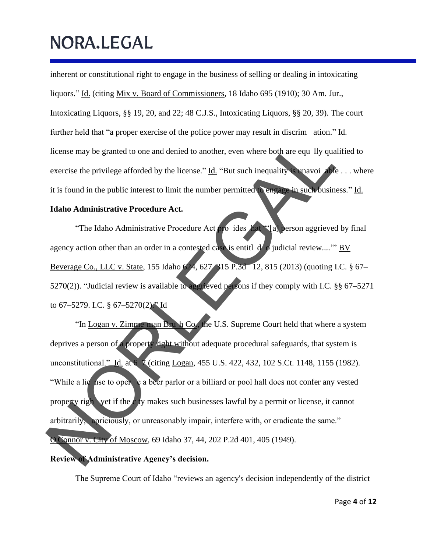inherent or constitutional right to engage in the business of selling or dealing in intoxicating liquors." Id. (citing Mix v. Board of Commissioners, 18 Idaho 695 (1910); 30 Am. Jur., Intoxicating Liquors, §§ 19, 20, and 22; 48 C.J.S., Intoxicating Liquors, §§ 20, 39). The court further held that "a proper exercise of the police power may result in discrim ation." Id. license may be granted to one and denied to another, even where both are equ lly qualified to exercise the privilege afforded by the license."  $\underline{Id}$ . "But such inequality is unavoi able . . . where it is found in the public interest to limit the number permitted to engage in such business." Id.

#### **Idaho Administrative Procedure Act.**

"The Idaho Administrative Procedure Act pro ides hat "'[a] person aggrieved by final agency action other than an order in a contested case is entitl d o judicial review...." BV Beverage Co., LLC v. State, 155 Idaho 624, 627 315 P.3d 12, 815 (2013) (quoting I.C. § 67– 5270(2)). "Judicial review is available to aggrieved persons if they comply with I.C. §§ 67–5271 to  $67-5279$ . I.C. §  $67-5270(2)$ . Id

"In Logan v. Zimme man Bru h Co., the U.S. Supreme Court held that where a system deprives a person of a property right without adequate procedural safeguards, that system is unconstitutional." Id. at 6 7 (citing Logan, 455 U.S. 422, 432, 102 S.Ct. 1148, 1155 (1982). "While a lic nse to oper e a beer parlor or a billiard or pool hall does not confer any vested property righ yet if the c ty makes such businesses lawful by a permit or license, it cannot arbitrarily, apriciously, or unreasonably impair, interfere with, or eradicate the same." O Connor v. City of Moscow, 69 Idaho 37, 44, 202 P.2d 401, 405 (1949). **Review of Administrative Agency's decision.** Iicense may be granted to one and denied to another, even where both are equ IIy qualified<br>exercise the privilege afforded by the license." <u>Id.</u> "But such inequality a mayor decline<br>it is found in the public interest to f

The Supreme Court of Idaho "reviews an agency's decision independently of the district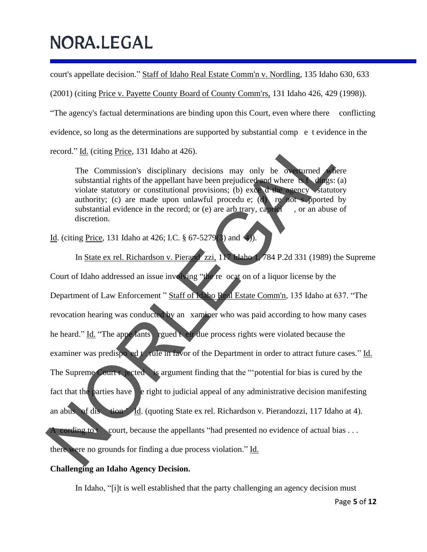court's appellate decision." Staff of Idaho Real Estate Comm'n v. Nordling, 135 Idaho 630, 633

(2001) (citing Price v. Payette County Board of County Comm'rs, 131 Idaho 426, 429 (1998)).

"The agency's factual determinations are binding upon this Court, even where there conflicting

evidence, so long as the determinations are supported by substantial comp e t evidence in the

record." Id. (citing Price, 131 Idaho at 426).

The Commission's disciplinary decisions may only be overturned where substantial rights of the appellant have been prejudiced and where  $\mathbf{ts} \cdot \mathbf{h}$  dings: (a) violate statutory or constitutional provisions; (b) exce d the agency statutory authority; (c) are made upon unlawful procedu e; (d) re not s pported by substantial evidence in the record; or (e) are arb trary, caprici  $\alpha$ , or an abuse of discretion.

Id. (citing Price, 131 Idaho at 426; I.C. § 67-5279(3) and 4)).

In State ex rel. Richardson v. Pierand zzi, 117 Idaho 1, 784 P.2d 331 (1989) the Supreme Court of Idaho addressed an issue involving "the re ocat on of a liquor license by the Department of Law Enforcement " Staff of Idaho Real Estate Comm'n, 135 Idaho at 637. "The revocation hearing was conducted by an xaminer who was paid according to how many cases he heard." Id. "The appe lants rgued t eir due process rights were violated because the examiner was predispo ed t rule in favor of the Department in order to attract future cases." Id. The Supreme Court r jected is argument finding that the "'potential for bias is cured by the fact that the parties have  $\epsilon$  e right to judicial appeal of any administrative decision manifesting an abus of dis tion ' Id. (quoting State ex rel. Richardson v. Pierandozzi, 117 Idaho at 4). A cording to t court, because the appellants "had presented no evidence of actual bias  $\dots$ there were no grounds for finding a due process violation." Id. record." <u>Id</u>. (iting Price, 131 Idaho at 426).<br>
The Commission's disciplinary decisions may only be over the derections<br>
wiolae statutory (c) are made upon unlawful procedure; (d) and where the<br>
under substantial rights

#### **Challenging an Idaho Agency Decision.**

In Idaho, "[i]t is well established that the party challenging an agency decision must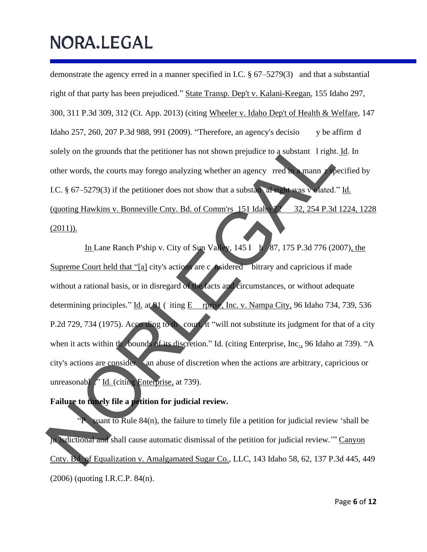demonstrate the agency erred in a manner specified in I.C. § 67–5279(3) and that a substantial right of that party has been prejudiced." State Transp. Dep't v. Kalani-Keegan, 155 Idaho 297, 300, 311 P.3d 309, 312 (Ct. App. 2013) (citing Wheeler v. Idaho Dep't of Health & Welfare, 147 Idaho 257, 260, 207 P.3d 988, 991 (2009). "Therefore, an agency's decisio y be affirm d solely on the grounds that the petitioner has not shown prejudice to a substant 1 right. Id. In other words, the courts may forego analyzing whether an agency rred in a mann r specified by I.C. § 67–5279(3) if the petitioner does not show that a substant all right was v olated." Id. (quoting Hawkins v. Bonneville Cnty. Bd. of Comm'rs 151 Idaho 22 32, 254 P.3d 1224, 1228  $(2011)$ ).

In Lane Ranch P'ship v. City of Sun Valley,  $145$  I h  $87$ ,  $175$  P.3d 776 (2007), the Supreme Court held that "[a] city's actions are c nsidered bitrary and capricious if made without a rational basis, or in disregard of the facts and circumstances, or without adequate determining principles." Id. at 91 (iting E rprise, Inc. v. Nampa City, 96 Idaho 734, 739, 536 P.2d 729, 734 (1975). According to the court, it "will not substitute its judgment for that of a city when it acts within the bounds of its discretion." Id. (citing Enterprise, Inc., 96 Idaho at 739). "A city's actions are consider an abuse of discretion when the actions are arbitrary, capricious or unreasonabl ." Id. (citing Enterprise, at 739). Solely on the grounds that the petitioner has not shown prejudice to a substant 1 right. Id.<br>
other words, the courts may forego analyzing whether an agency rred in mann receits<br>
LC, § 67-5279(3) if the petitioner does no

#### **Failure to timely file a petition for judicial review.**

"P suant to Rule 84(n), the failure to timely file a petition for judicial review 'shall be ju isdictional and shall cause automatic dismissal of the petition for judicial review.'" Canyon Cnty. Bd of Equalization v. Amalgamated Sugar Co., LLC, 143 Idaho 58, 62, 137 P.3d 445, 449 (2006) (quoting I.R.C.P. 84(n).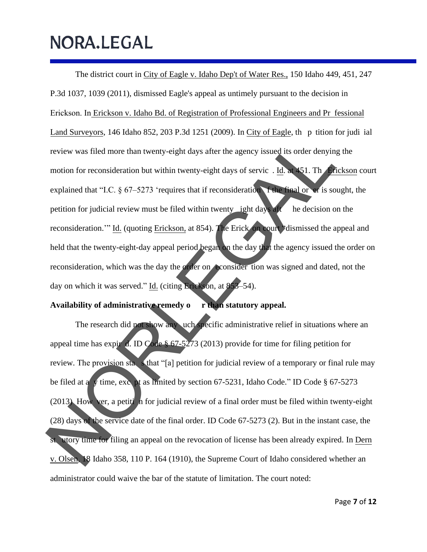The district court in City of Eagle v. Idaho Dep't of Water Res., 150 Idaho 449, 451, 247 P.3d 1037, 1039 (2011), dismissed Eagle's appeal as untimely pursuant to the decision in Erickson. In Erickson v. Idaho Bd. of Registration of Professional Engineers and Pr fessional Land Surveyors, 146 Idaho 852, 203 P.3d 1251 (2009). In City of Eagle, the p tition for judi ial review was filed more than twenty-eight days after the agency issued its order denying the motion for reconsideration but within twenty-eight days of servic . Id. at 451. Th Erickson court explained that "I.C. § 67–5273 'requires that if reconsideration f the final or er is sought, the petition for judicial review must be filed within twenty **jest** days aft he decision on the reconsideration.'" Id. (quoting Erickson, at 854). The Erick on court "dismissed the appeal and held that the twenty-eight-day appeal period began on the day that the agency issued the order on reconsideration, which was the day the order on econsider tion was signed and dated, not the day on which it was served." Id. (citing Erickson, at 853–54). Exercitive was filed more than twenty-eight days after the agency issued its order denying the<br>
motion for reconsideration but within twenty-eight days of service . Id. W.S. The direction<br>
explained that "LC. § 67-5273 "r

#### **Availability of administrative remedy o r than statutory appeal.**

The research did not show any uch specific administrative relief in situations where an appeal time has expir d. ID Code § 67-5273 (2013) provide for time for filing petition for review. The provision startial sthat "[a] petition for judicial review of a temporary or final rule may be filed at a y time, exc pt as limited by section 67-5231, Idaho Code." ID Code § 67-5273 (2013) How ver, a petiti n for judicial review of a final order must be filed within twenty-eight (28) days of the service date of the final order. ID Code 67-5273 (2). But in the instant case, the st. utory time for filing an appeal on the revocation of license has been already expired. In Dern v. Olsen, 18 Idaho 358, 110 P. 164 (1910), the Supreme Court of Idaho considered whether an administrator could waive the bar of the statute of limitation. The court noted: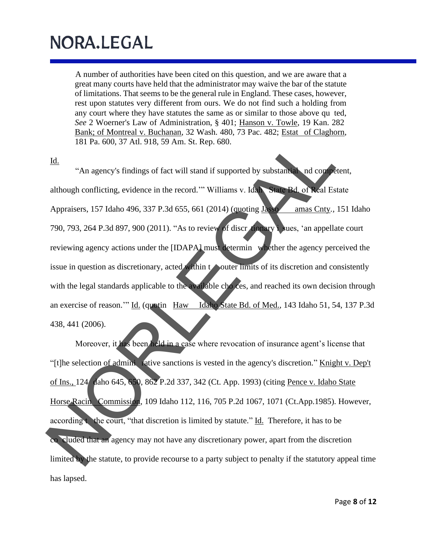A number of authorities have been cited on this question, and we are aware that a great many courts have held that the administrator may waive the bar of the statute of limitations. That seems to be the general rule in England. These cases, however, rest upon statutes very different from ours. We do not find such a holding from any court where they have statutes the same as or similar to those above qu ted, *See* 2 Woerner's Law of Administration, § 401; Hanson v. Towle, 19 Kan. 282 Bank; of Montreal v. Buchanan, 32 Wash. 480, 73 Pac. 482; Estat of Claghorn, 181 Pa. 600, 37 Atl. 918, 59 Am. St. Rep. 680.

Id.

"An agency's findings of fact will stand if supported by substantial nd competent, although conflicting, evidence in the record.'" Williams v. Idah State Bd. of Real Estate Appraisers, 157 Idaho 496, 337 P.3d 655, 661 (2014) (quoting Jasso amas Cnty*.,* 151 Idaho 790, 793, 264 P.3d 897, 900 (2011). "As to review of discr tionary i sues, 'an appellate court reviewing agency actions under the [IDAPA] must determin whether the agency perceived the issue in question as discretionary, acted within to outer limits of its discretion and consistently with the legal standards applicable to the available cho ces, and reached its own decision through an exercise of reason.'" Id. (quotin Haw Idaho State Bd. of Med.*,* 143 Idaho 51, 54, 137 P.3d 438, 441 (2006). 181 Pa. 600, 37 Atl. 918, 59 Am. St. Rep. 680.<br>
14. The according of fact will stand if supported by substantial and conference in the record. "Williams v. Idea<br>
14. The according conference in the record." Williams v. Id

Moreover, it has been held in a case where revocation of insurance agent's license that "[t]he selection of admini rative sanctions is vested in the agency's discretion." Knight v. Dep't of Ins., 124 daho 645, 650, 862 P.2d 337, 342 (Ct. App. 1993) (citing Pence v. Idaho State Horse Racin Commission, 109 Idaho 112, 116, 705 P.2d 1067, 1071 (Ct.App.1985). However, according the court, "that discretion is limited by statute."  $\underline{Id}$ . Therefore, it has to be co cluded that an agency may not have any discretionary power, apart from the discretion limited by the statute, to provide recourse to a party subject to penalty if the statutory appeal time has lapsed.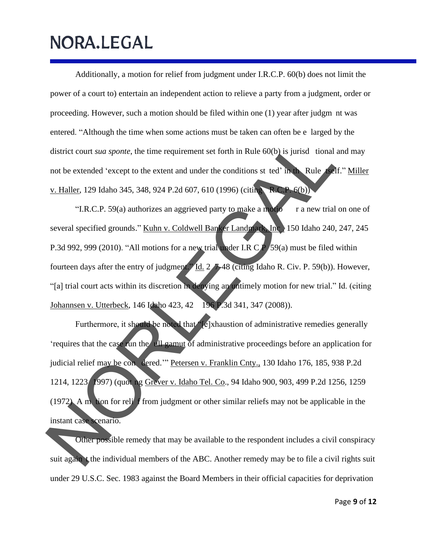Additionally, a motion for relief from judgment under I.R.C.P. 60(b) does not limit the power of a court to) entertain an independent action to relieve a party from a judgment, order or proceeding. However, such a motion should be filed within one (1) year after judgm nt was entered. "Although the time when some actions must be taken can often be e larged by the district court *sua sponte*, the time requirement set forth in Rule 60(b) is jurisd tional and may not be extended 'except to the extent and under the conditions st ted' in the Rule tself." Miller v. Haller, 129 Idaho 345, 348, 924 P.2d 607, 610 (1996) (citing R.C.P. 6(b))

"I.R.C.P. 59(a) authorizes an aggrieved party to make a motio $r^2$  r a new trial on one of several specified grounds." Kuhn v. Coldwell Banker Landmark, Inc. 150 Idaho 240, 247, 245 P.3d 992, 999 (2010). "All motions for a new trial under I.R C  $\overline{P}$  /59(a) must be filed within fourteen days after the entry of judgment." Id. 2 7-48 (citing Idaho R. Civ. P. 59(b)). However, "[a] trial court acts within its discretion in denying an untimely motion for new trial." Id. (citing Johannsen v. Utterbeck, 146 Idaho 423, 42 196 P.3d 341, 347 (2008)). district court *sua sponte*, the time requirement set forth in Rule 60(b) is jurisd tional and not be extended 'except to the extent and under the conditions st ted' in Rule (AI," N<br>  $\frac{V \cdot \text{Haller}}{V \cdot \text{RCLP}}$ , 129 Idaho 3

Furthermore, it should be noted that "[e]xhaustion of administrative remedies generally 'requires that the case run the ull gamut of administrative proceedings before an application for judicial relief may be con dered.'" Petersen v. Franklin Cnty., 130 Idaho 176, 185, 938 P.2d 1214, 1223 1997) (quot ng Grever v. Idaho Tel. Co., 94 Idaho 900, 903, 499 P.2d 1256, 1259 (1972) A m tion for reli f from judgment or other similar reliefs may not be applicable in the instant case scenario.

Other possible remedy that may be available to the respondent includes a civil conspiracy suit again t the individual members of the ABC. Another remedy may be to file a civil rights suit under 29 U.S.C. Sec. 1983 against the Board Members in their official capacities for deprivation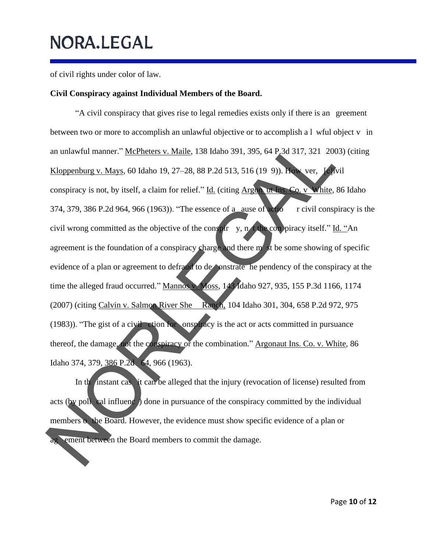of civil rights under color of law.

#### **Civil Conspiracy against Individual Members of the Board.**

"A civil conspiracy that gives rise to legal remedies exists only if there is an greement between two or more to accomplish an unlawful objective or to accomplish a l wful object v in an unlawful manner." McPheters v. Maile, 138 Idaho 391, 395, 64 P.3d 317, 321 2003) (citing Kloppenburg v. Mays*,* 60 Idaho 19, 27–28, 88 P.2d 513, 516 (19 9)). How ver, [c]ivil conspiracy is not, by itself, a claim for relief." Id. (citing Argon ut Ins. Co. v White*,* 86 Idaho 374, 379, 386 P.2d 964, 966 (1963)). "The essence of a ause of actio r civil conspiracy is the civil wrong committed as the objective of the conspir y, n t the con piracy itself." Id. "An agreement is the foundation of a conspiracy charge and there m st be some showing of specific evidence of a plan or agreement to defraud to de onstrate he pendency of the conspiracy at the time the alleged fraud occurred." Mannos v. Moss, 143 Idaho 927, 935, 155 P.3d 1166, 1174 (2007) (citing Calvin v. Salmon River She Ranch, 104 Idaho 301, 304, 658 P.2d 972, 975 (1983)). "The gist of a civil ction for onspiracy is the act or acts committed in pursuance thereof, the damage, not the conspiracy or the combination." Argonaut Ins. Co. v. White, 86 Idaho 374, 379, 386 P.2d 64, 966 (1963). an unlawful manner." McPheters v. Maile. 138 Idaho 391, 395, 64 P 3d 317, 321 200<br>
Xloppenburg v. Mays. 60 Idaho 19, 27–28. 88 P.2d 513, 516 (19 9)). The ver, 16<br>
conspiracy is not, by itself, a claim for relief." Id. (ci

In the instant case it can be alleged that the injury (revocation of license) resulted from acts (by policed influenc) done in pursuance of the conspiracy committed by the individual members o the Board. However, the evidence must show specific evidence of a plan or ag ement between the Board members to commit the damage.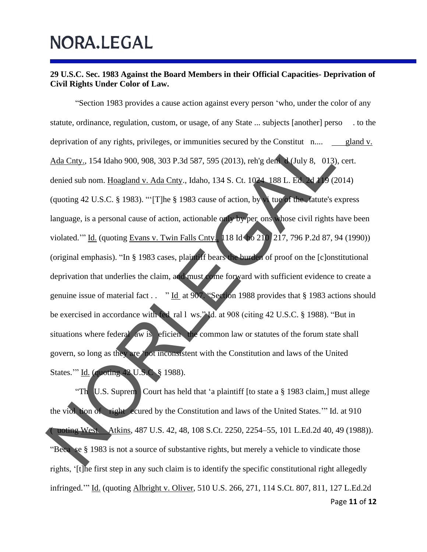#### **29 U.S.C. Sec. 1983 Against the Board Members in their Official Capacities- Deprivation of Civil Rights Under Color of Law.**

"Section 1983 provides a cause action against every person 'who, under the color of any statute, ordinance, regulation, custom, or usage, of any State ... subjects [another] perso . to the deprivation of any rights, privileges, or immunities secured by the Constitut n.... gland v. Ada Cnty., 154 Idaho 900, 908, 303 P.3d 587, 595 (2013), reh'g deni d (July 8, 013), cert. denied sub nom. Hoagland v. Ada Cnty., Idaho, 134 S. Ct. 1024 188 L. Ed. 2d 119 (2014) (quoting 42 U.S.C. § 1983). "'[T]he § 1983 cause of action, by vi tue of the tatute's express language, is a personal cause of action, actionable only by per ons whose civil rights have been violated." Id. (quoting Evans v. Twin Falls Cnty., 118 Id ho 210 217, 796 P.2d 87, 94 (1990)) (original emphasis). "In § 1983 cases, plaintiff bears the burden of proof on the [c]onstitutional deprivation that underlies the claim, and must come forward with sufficient evidence to create a genuine issue of material fact . . . " Id at 907. "Section 1988 provides that § 1983 actions should be exercised in accordance with fed ral l ws." Id. at 908 (citing 42 U.S.C. § 1988). "But in situations where federal aw is eficien the common law or statutes of the forum state shall govern, so long as they are 'not inconsistent with the Constitution and laws of the United States.'" Id. (quoting 42 U.S.C § 1988). deprivation of any rights, privileges, or immunities secured by the Constitut n....  $\frac{91}{100}$ <br>
Ada Cmry., 154 Idaho 900, 908, 303 P.3d 587, 595 (2013), rely dem May 8, 013), cert<br>
denied sub nom. Hongland v. Ada Cmry.,

Page **11** of **12** "Th U.S. Suprem Court has held that 'a plaintiff [to state a § 1983 claim,] must allege the viol tion of right ecured by the Constitution and laws of the United States.'" Id. at 910 uoting West Atkins, 487 U.S. 42, 48, 108 S.Ct. 2250, 2254–55, 101 L.Ed.2d 40, 49 (1988)). "Beca se § 1983 is not a source of substantive rights, but merely a vehicle to vindicate those rights, '[t]he first step in any such claim is to identify the specific constitutional right allegedly infringed." Id. (quoting Albright v. Oliver, 510 U.S. 266, 271, 114 S.Ct. 807, 811, 127 L.Ed.2d